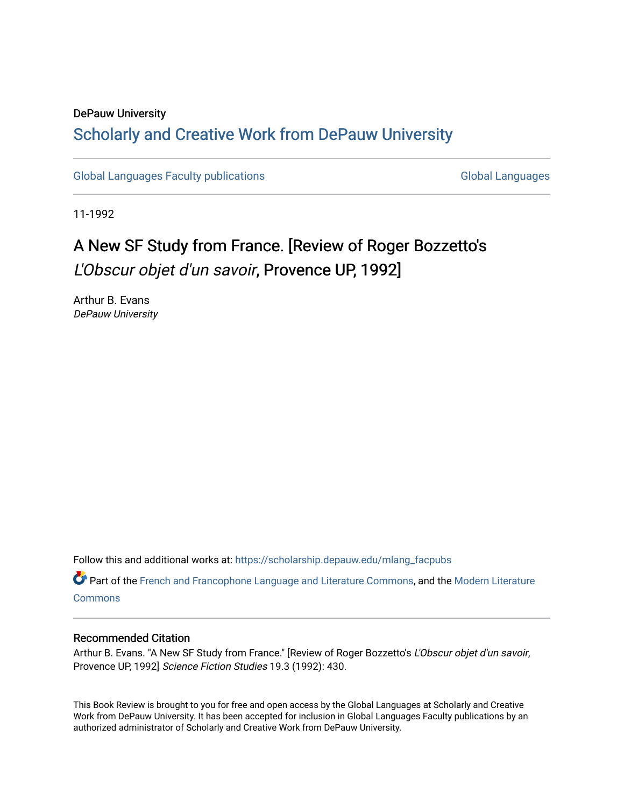## DePauw University Scholarly and [Creative Work from DePauw Univ](https://scholarship.depauw.edu/)ersity

[Global Languages Faculty publications](https://scholarship.depauw.edu/mlang_facpubs) [Global Languages](https://scholarship.depauw.edu/modernlanguages) Global Languages

11-1992

## A New SF Study from France. [Review of Roger Bozzetto's L'Obscur objet d'un savoir, Provence UP, 1992]

Arthur B. Evans DePauw University

Follow this and additional works at: [https://scholarship.depauw.edu/mlang\\_facpubs](https://scholarship.depauw.edu/mlang_facpubs?utm_source=scholarship.depauw.edu%2Fmlang_facpubs%2F43&utm_medium=PDF&utm_campaign=PDFCoverPages)

Part of the [French and Francophone Language and Literature Commons,](https://network.bepress.com/hgg/discipline/463?utm_source=scholarship.depauw.edu%2Fmlang_facpubs%2F43&utm_medium=PDF&utm_campaign=PDFCoverPages) and the [Modern Literature](https://network.bepress.com/hgg/discipline/1050?utm_source=scholarship.depauw.edu%2Fmlang_facpubs%2F43&utm_medium=PDF&utm_campaign=PDFCoverPages) **[Commons](https://network.bepress.com/hgg/discipline/1050?utm_source=scholarship.depauw.edu%2Fmlang_facpubs%2F43&utm_medium=PDF&utm_campaign=PDFCoverPages)** 

## Recommended Citation

Arthur B. Evans. "A New SF Study from France." [Review of Roger Bozzetto's L'Obscur objet d'un savoir, Provence UP, 1992] Science Fiction Studies 19.3 (1992): 430.

This Book Review is brought to you for free and open access by the Global Languages at Scholarly and Creative Work from DePauw University. It has been accepted for inclusion in Global Languages Faculty publications by an authorized administrator of Scholarly and Creative Work from DePauw University.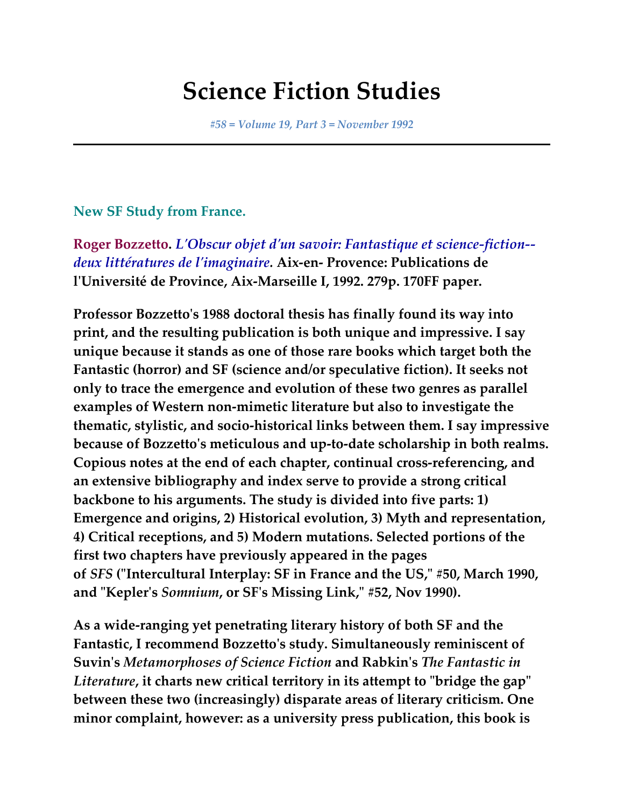## **Science Fiction Studies**

*#58 = Volume 19, Part 3 = November 1992*

**New SF Study from France.**

**Roger Bozzetto.** *L'Obscur objet d'un savoir: Fantastique et science-fiction- deux littératures de l'imaginaire.* **Aix-en- Provence: Publications de l'Université de Province, Aix-Marseille I, 1992. 279p. 170FF paper.**

**Professor Bozzetto's 1988 doctoral thesis has finally found its way into print, and the resulting publication is both unique and impressive. I say unique because it stands as one of those rare books which target both the Fantastic (horror) and SF (science and/or speculative fiction). It seeks not only to trace the emergence and evolution of these two genres as parallel examples of Western non-mimetic literature but also to investigate the thematic, stylistic, and socio-historical links between them. I say impressive because of Bozzetto's meticulous and up-to-date scholarship in both realms. Copious notes at the end of each chapter, continual cross-referencing, and an extensive bibliography and index serve to provide a strong critical backbone to his arguments. The study is divided into five parts: 1) Emergence and origins, 2) Historical evolution, 3) Myth and representation, 4) Critical receptions, and 5) Modern mutations. Selected portions of the first two chapters have previously appeared in the pages of** *SFS* **("Intercultural Interplay: SF in France and the US," #50, March 1990, and "Kepler's** *Somnium***, or SF's Missing Link," #52, Nov 1990).**

**As a wide-ranging yet penetrating literary history of both SF and the Fantastic, I recommend Bozzetto's study. Simultaneously reminiscent of Suvin's** *Metamorphoses of Science Fiction* **and Rabkin's** *The Fantastic in Literature***, it charts new critical territory in its attempt to "bridge the gap" between these two (increasingly) disparate areas of literary criticism. One minor complaint, however: as a university press publication, this book is**